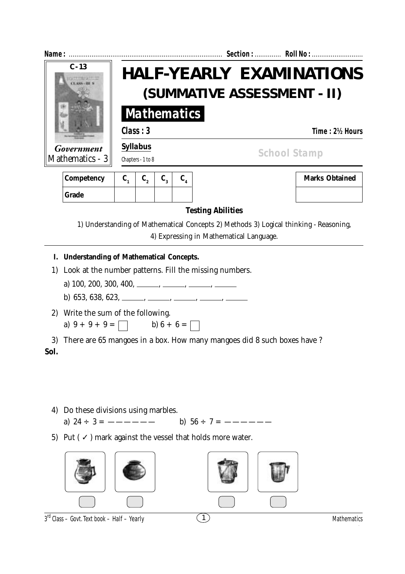| Name: $\ldots$                                   |                                                                                                                                                                                                                               |                                                                     |                |         |                                         |                |  |                                                                                       |  |
|--------------------------------------------------|-------------------------------------------------------------------------------------------------------------------------------------------------------------------------------------------------------------------------------|---------------------------------------------------------------------|----------------|---------|-----------------------------------------|----------------|--|---------------------------------------------------------------------------------------|--|
| $C - 13$<br><b>Government</b><br>Mathematics - 3 |                                                                                                                                                                                                                               | <b>HALF-YEARLY EXAMINATIONS</b><br>(SUMMATIVE ASSESSMENT - II)      |                |         |                                         |                |  |                                                                                       |  |
|                                                  |                                                                                                                                                                                                                               | <b>Mathematics</b>                                                  |                |         |                                         |                |  |                                                                                       |  |
|                                                  |                                                                                                                                                                                                                               | Class: 3                                                            |                |         |                                         | Time: 2½ Hours |  |                                                                                       |  |
|                                                  |                                                                                                                                                                                                                               | <b>Syllabus</b><br>Chapters - 1 to 8                                |                |         | <b>School Stamp</b>                     |                |  |                                                                                       |  |
|                                                  | Competency                                                                                                                                                                                                                    | $C_{1}$<br>$\mathbf{C}_{2}$                                         | $\mathbf{C}_3$ | $C_{4}$ |                                         |                |  | <b>Marks Obtained</b>                                                                 |  |
|                                                  | <b>Grade</b>                                                                                                                                                                                                                  |                                                                     |                |         |                                         |                |  |                                                                                       |  |
|                                                  |                                                                                                                                                                                                                               |                                                                     |                |         | <b>Testing Abilities</b>                |                |  |                                                                                       |  |
|                                                  |                                                                                                                                                                                                                               |                                                                     |                |         | 4) Expressing in Mathematical Language. |                |  | 1) Understanding of Mathematical Concepts 2) Methods 3) Logical thinking - Reasoning, |  |
| I.<br>1)                                         | <b>Understanding of Mathematical Concepts.</b><br>Look at the number patterns. Fill the missing numbers.<br>a) 100, 200, 300, 400, _____, ____, ____, _____, ______<br>b) 653, 638, 623, ______, _____, _____, _____, ______, |                                                                     |                |         |                                         |                |  |                                                                                       |  |
|                                                  |                                                                                                                                                                                                                               | 2) Write the sum of the following.<br>a) $9 + 9 + 9 =$ b) $6 + 6 =$ |                |         |                                         |                |  |                                                                                       |  |
| Sol.                                             | 3) There are 65 mangoes in a box. How many mangoes did 8 such boxes have ?                                                                                                                                                    |                                                                     |                |         |                                         |                |  |                                                                                       |  |
| 4)                                               | Do these divisions using marbles.                                                                                                                                                                                             |                                                                     |                |         |                                         |                |  |                                                                                       |  |
| 5)                                               | Put ( $\checkmark$ ) mark against the vessel that holds more water.                                                                                                                                                           |                                                                     |                |         |                                         |                |  |                                                                                       |  |
|                                                  |                                                                                                                                                                                                                               |                                                                     |                |         |                                         |                |  |                                                                                       |  |
|                                                  | $3^{rd}$ Class - Govt. Text book - Half - Yearly                                                                                                                                                                              |                                                                     |                |         | $\mathbf{1}$                            |                |  | Mathematics                                                                           |  |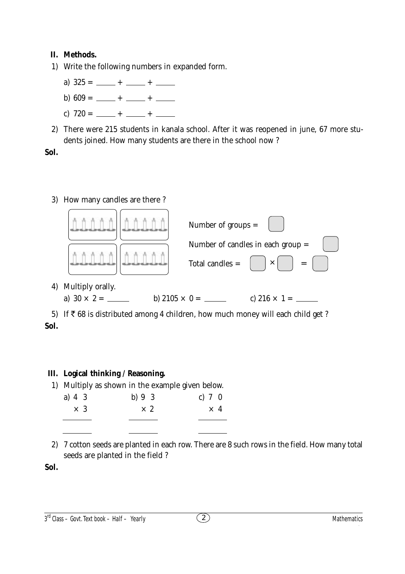## **II. Methods.**

- 1) Write the following numbers in expanded form.
	- a)  $325 = \underline{\hspace{1cm}} + \underline{\hspace{1cm}} + \underline{\hspace{1cm}}$
	- b)  $609 = \underline{\hspace{1cm}} + \underline{\hspace{1cm}} + \underline{\hspace{1cm}}$
	- c)  $720 = \underline{\hspace{1cm}} + \underline{\hspace{1cm}} + \underline{\hspace{1cm}}$
- 2) There were 215 students in kanala school. After it was reopened in june, 67 more students joined. How many students are there in the school now ?

**Sol.**

## 3) How many candles are there ?



5) If  $\bar{\tau}$  68 is distributed among 4 children, how much money will each child get ? **Sol.**

## **III. Logical thinking / Reasoning.**

| 1) Multiply as shown in the example given below. |  |
|--------------------------------------------------|--|
|--------------------------------------------------|--|

| a) $4 \, 3$ | b) $9\quad3$ | c) $7 \ 0$ |            |  |
|-------------|--------------|------------|------------|--|
| $\times$ 3  | $\times 2$   |            | $\times$ 4 |  |
|             |              |            |            |  |

2) 7 cotton seeds are planted in each row. There are 8 such rows in the field. How many total seeds are planted in the field ?

**Sol.**